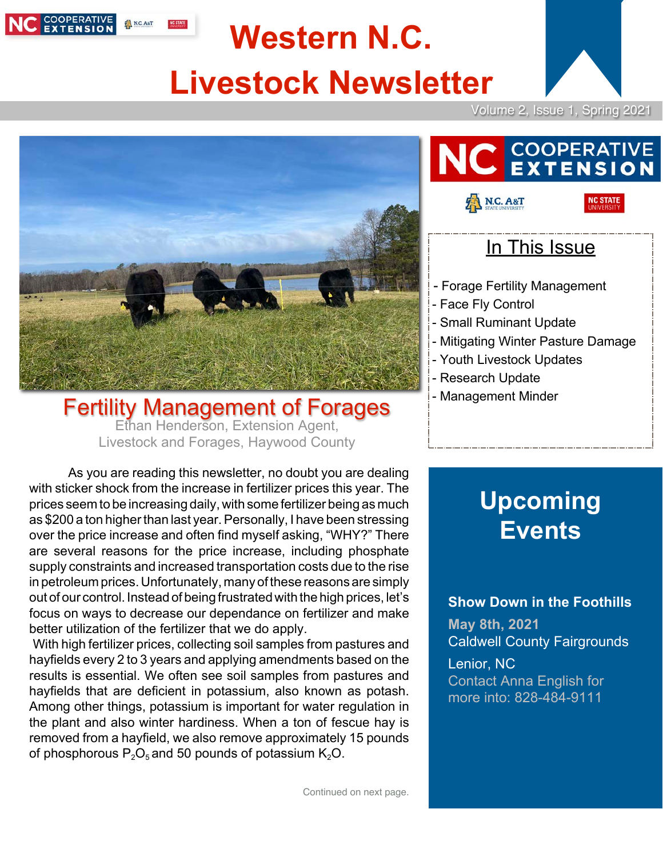

# **Western N.C. Livestock Newsletter**



**NC STATE** 



Fertility Management of Forages Ethan Henderson, Extension Agent, Livestock and Forages, Haywood County

As you are reading this newsletter, no doubt you are dealing with sticker shock from the increase in fertilizer prices this year. The prices seem to be increasing daily, with some fertilizer being as much as \$200 a ton higher than last year. Personally, I have been stressing over the price increase and often find myself asking, "WHY?" There are several reasons for the price increase, including phosphate supply constraints and increased transportation costs due to the rise in petroleum prices.Unfortunately, many of these reasons are simply out of our control. Instead of being frustrated with the high prices, let's focus on ways to decrease our dependance on fertilizer and make better utilization of the fertilizer that we do apply.

With high fertilizer prices, collecting soil samples from pastures and hayfields every 2 to 3 years and applying amendments based on the results is essential. We often see soil samples from pastures and hayfields that are deficient in potassium, also known as potash. Among other things, potassium is important for water regulation in the plant and also winter hardiness. When a ton of fescue hay is removed from a hayfield, we also remove approximately 15 pounds of phosphorous  $P_2O_5$  and 50 pounds of potassium  $K_2O$ .

**COOPERATIVE**<br>EXTENSION

### In This Issue

- Forage Fertility Management
- Face Fly Control

N.C. A&T

- Small Ruminant Update
- Mitigating Winter Pasture Damage
- Youth Livestock Updates
- Research Update
- Management Minder

## **Upcoming Events**

#### **Show Down in the Foothills**

**May 8th, 2021** Caldwell County Fairgrounds

Lenior, NC Contact Anna English for more into: 828-484-9111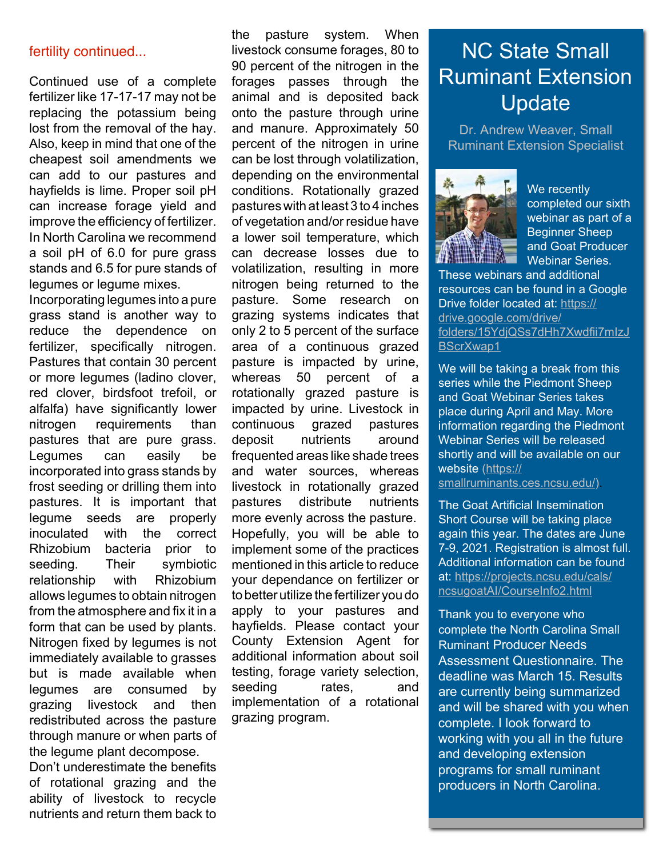Continued use of a complete fertilizer like 17-17-17 may not be replacing the potassium being lost from the removal of the hay. Also, keep in mind that one of the cheapest soil amendments we can add to our pastures and hayfields is lime. Proper soil pH can increase forage yield and improve the efficiency of fertilizer. In North Carolina we recommend a soil pH of 6.0 for pure grass stands and 6.5 for pure stands of legumes or legume mixes.

Incorporating legumes into a pure grass stand is another way to reduce the dependence on fertilizer, specifically nitrogen. Pastures that contain 30 percent or more legumes (ladino clover, red clover, birdsfoot trefoil, or alfalfa) have significantly lower nitrogen requirements than pastures that are pure grass. Legumes can easily be incorporated into grass stands by frost seeding or drilling them into pastures. It is important that legume seeds are properly inoculated with the correct Rhizobium bacteria prior to seeding. Their symbiotic relationship with Rhizobium allows legumes to obtain nitrogen from the atmosphere and fix it in a form that can be used by plants. Nitrogen fixed by legumes is not immediately available to grasses but is made available when legumes are consumed by grazing livestock and then redistributed across the pasture through manure or when parts of the legume plant decompose.

Don't underestimate the benefits of rotational grazing and the ability of livestock to recycle nutrients and return them back to

the pasture system. When livestock consume forages, 80 to 90 percent of the nitrogen in the forages passes through the animal and is deposited back onto the pasture through urine and manure. Approximately 50 percent of the nitrogen in urine can be lost through volatilization, depending on the environmental conditions. Rotationally grazed pastures with at least 3 to 4 inches of vegetation and/or residue have a lower soil temperature, which can decrease losses due to volatilization, resulting in more nitrogen being returned to the pasture. Some research on grazing systems indicates that only 2 to 5 percent of the surface area of a continuous grazed pasture is impacted by urine, whereas 50 percent of a rotationally grazed pasture is impacted by urine. Livestock in continuous grazed pastures deposit nutrients around frequented areas like shade trees and water sources, whereas livestock in rotationally grazed pastures distribute nutrients more evenly across the pasture. Hopefully, you will be able to implement some of the practices mentioned in this article to reduce your dependance on fertilizer or to better utilize the fertilizer you do apply to your pastures and hayfields. Please contact your County Extension Agent for additional information about soil testing, forage variety selection, seeding rates, and implementation of a rotational grazing program. fertility continued... The strate of the strate consume forages, 80 to **NC State Small** 

# Ruminant Extension Update

Dr. Andrew Weaver, Small Ruminant Extension Specialist



We recently completed our sixth webinar as part of a Beginner Sheep and Goat Producer Webinar Series.

These webinars and additional resources can be found in a Google Drive folder located at: https:// drive.google.com/drive/ folders/15YdjQSs7dHh7Xwdfii7mIzJ BScrXwap1

We will be taking a break from this series while the Piedmont Sheep and Goat Webinar Series takes place during April and May. More information regarding the Piedmont Webinar Series will be released shortly and will be available on our website ([https://](https://smallruminants.ces.ncsu.edu/)

[smallruminants.ces.ncsu.edu/\)](https://smallruminants.ces.ncsu.edu/).

The Goat Artificial Insemination Short Course will be taking place again this year. The dates are June 7-9, 2021. Registration is almost full. Additional information can be found at: https://projects.ncsu.edu/cals/ ncsugoatAI/CourseInfo2.html

Thank you to everyone who complete the North Carolina Small Ruminant Producer Needs Assessment Questionnaire. The deadline was March 15. Results are currently being summarized and will be shared with you when complete. I look forward to working with you all in the future and developing extension programs for small ruminant producers in North Carolina.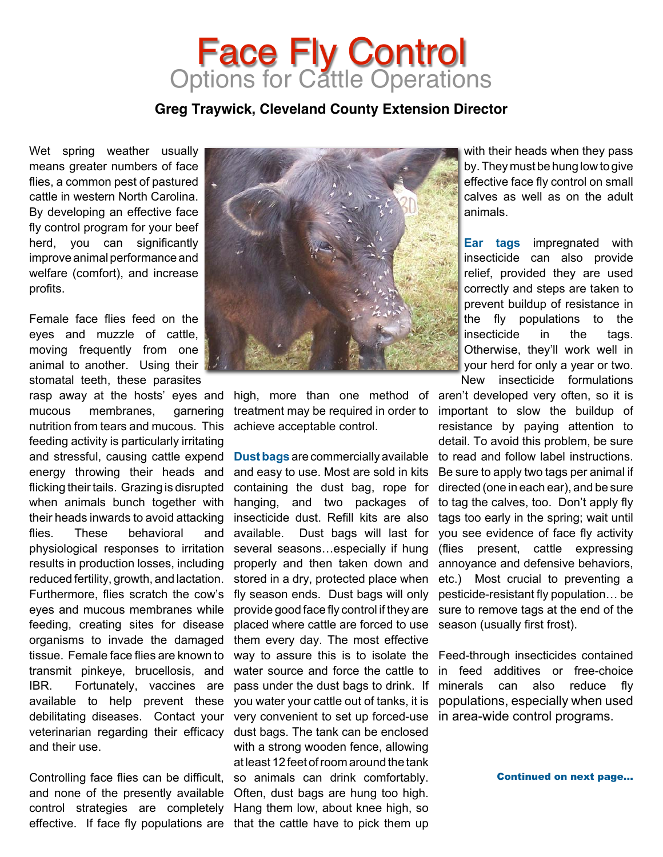### Face Fly Control **Options for Cattle Operations**

#### **Greg Traywick, Cleveland County Extension Director**

Wet spring weather usually means greater numbers of face flies, a common pest of pastured cattle in western North Carolina. By developing an effective face fly control program for your beef herd, you can significantly improve animal performance and welfare (comfort), and increase profits.

Female face flies feed on the eyes and muzzle of cattle, moving frequently from one animal to another. Using their stomatal teeth, these parasites

rasp away at the hosts' eyes and mucous membranes, garnering nutrition from tears and mucous. This feeding activity is particularly irritating and stressful, causing cattle expend energy throwing their heads and flicking theirtails. Grazing is disrupted when animals bunch together with their heads inwards to avoid attacking flies. These behavioral and physiological responses to irritation results in production losses, including reduced fertility, growth, and lactation. Furthermore, flies scratch the cow's eyes and mucous membranes while feeding, creating sites for disease organisms to invade the damaged tissue. Female face flies are known to transmit pinkeye, brucellosis, and IBR. Fortunately, vaccines are available to help prevent these debilitating diseases. Contact your veterinarian regarding their efficacy and their use.

and none of the presently available Often, dust bags are hung too high. control strategies are completely Hang them low, about knee high, so



high, more than one method of treatment may be required in order to achieve acceptable control.

Controlling face flies can be difficult, so animals can drink comfortably. effective. If face fly populations are that the cattle have to pick them up **Dustbags** are commercially available and easy to use. Most are sold in kits containing the dust bag, rope for hanging, and two packages of insecticide dust. Refill kits are also available. Dust bags will last for several seasons…especially if hung properly and then taken down and stored in a dry, protected place when fly season ends. Dust bags will only provide good face fly control if they are placed where cattle are forced to use them every day. The most effective way to assure this is to isolate the Feed-through insecticides contained water source and force the cattle to pass under the dust bags to drink. If you water your cattle out of tanks, it is very convenient to set up forced-use in area-wide control programs. dust bags. The tank can be enclosed with a strong wooden fence, allowing at least 12 feet ofroom around the tank

with their heads when they pass by.They must be hung lowto give effective face fly control on small calves as well as on the adult animals.

**Ear tags** impregnated with insecticide can also provide relief, provided they are used correctly and steps are taken to prevent buildup of resistance in the fly populations to the insecticide in the tags. Otherwise, they'll work well in your herd for only a year or two. New insecticide formulations

aren't developed very often, so it is important to slow the buildup of resistance by paying attention to detail. To avoid this problem, be sure to read and follow label instructions. Be sure to apply two tags per animal if directed (one in each ear), and be sure to tag the calves, too. Don't apply fly tags too early in the spring; wait until you see evidence of face fly activity (flies present, cattle expressing annoyance and defensive behaviors, etc.) Most crucial to preventing a pesticide-resistant fly population… be sure to remove tags at the end of the season (usually first frost).

in feed additives or free-choice minerals can also reduce fly populations, especially when used

Continued on next page...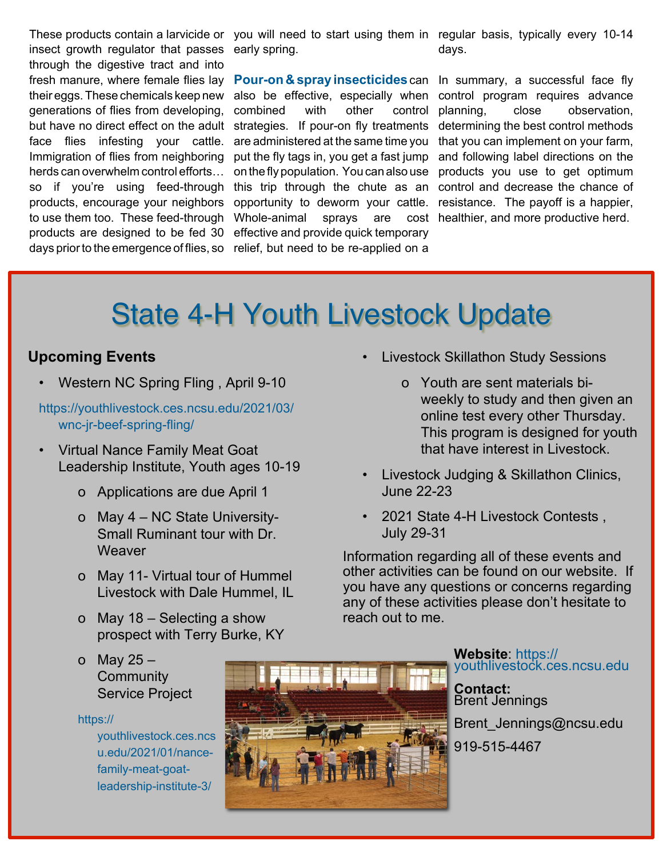insect growth regulator that passes early spring. through the digestive tract and into fresh manure, where female flies lay their eggs.These chemicals keep new generations of flies from developing, but have no direct effect on the adult strategies. If pour-on fly treatments face flies infesting your cattle. Immigration of flies from neighboring herds can overwhelm control efforts… so if you're using feed-through products, encourage your neighbors to use them too. These feed-through products are designed to be fed 30 effective and provide quick temporary

days prior to the emergence of flies, so relief, but need to be re-applied on a **Pour-on & spray insecticides**can In summary, a successful face fly also be effective, especially when control program requires advance combined with other control are administered at the same time you that you can implement on your farm, put the fly tags in, you get a fast jump on the fly population. You can also use products you use to get optimum this trip through the chute as an control and decrease the chance of opportunity to deworm your cattle. resistance. The payoff is a happier, Whole-animal sprays are

These products contain a larvicide or you will need to start using them in regular basis, typically every 10-14 days.

> planning, close observation, determining the best control methods and following label directions on the cost healthier, and more productive herd.

# State 4-H Youth Livestock Update

### **Upcoming Events**

• [Western](https://youthlivestock.ces.ncsu.edu/2021/03/wnc-jr-beef-spring-fling/) NC Spring Fling , April 9-10

https://youthlivestock.ces.ncsu.edu/2021/03/ wnc-jr-beef-spring-fling/

- Virtual Nance [Family](https://youthlivestock.ces.ncsu.edu/2021/01/nance-family-meat-goat-leadership-institute-3/) Meat Goat [Leadership](https://youthlivestock.ces.ncsu.edu/2021/01/nance-family-meat-goat-leadership-institute-3/) Institute, Youth ages 10-19
	- o Applications are due April 1
	- o May 4 NC State University-Small Ruminant tour with Dr. **Weaver**
	- o May 11- Virtual tour of Hummel Livestock with Dale Hummel, IL
	- o May 18 Selecting a show prospect with Terry Burke, KY
	- o May  $25 -$ **Community** Service Project

https://

youthlivestock.ces.ncs u.edu/2021/01/nancefamily-meat-goatleadership-institute-3/



• Livestock [Skillathon](https://youthlivestock.ces.ncsu.edu/2021/01/livestock-skillathon-study-sessions/) Study Sessions

- o Youth are sent materials biweekly to study and then given an online test every other Thursday. This program is designed for youth that have interest in Livestock.
- Livestock Judging & Skillathon Clinics, June 22-23
- 2021 State 4-H Livestock Contests , July 29-31

Information regarding all of these events and other activities can be found on our [website.](https://youthlivestock.ces.ncsu.edu/) If you have any questions or concerns regarding any of these activities please don't hesitate to reach out to me.

> **Website**: https:// youthlivestock.ces.ncsu.edu

**Contact:** Brent Jennings Brent\_Jennings@ncsu.edu 919-515-4467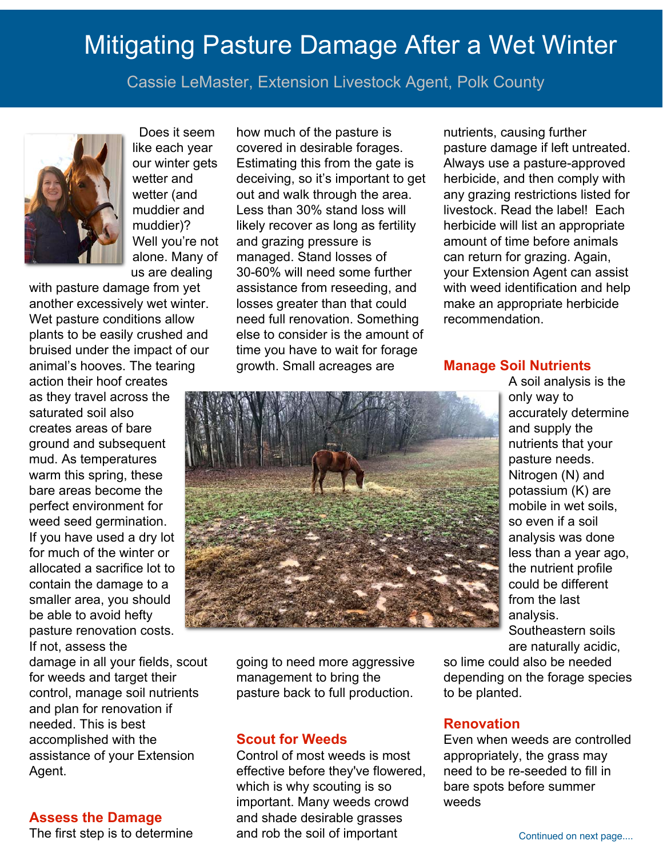# Mitigating Pasture Damage After a Wet Winter

Cassie LeMaster, Extension Livestock Agent, Polk County



Does it seem like each year our winter gets wetter and wetter (and muddier and muddier)? Well you're not alone. Many of us are dealing

with pasture damage from yet another excessively wet winter. Wet pasture conditions allow plants to be easily crushed and bruised under the impact of our animal's hooves. The tearing

action their hoof creates as they travel across the saturated soil also creates areas of bare ground and subsequent mud. As temperatures warm this spring, these bare areas become the perfect environment for weed seed germination. If you have used a dry lot for much of the winter or allocated a sacrifice lot to contain the damage to a smaller area, you should be able to avoid hefty pasture renovation costs. If not, assess the

damage in all your fields, scout for weeds and target their control, manage soil nutrients and plan for renovation if needed. This is best accomplished with the assistance of your Extension Agent.

#### **Assess the Damage**

The first step is to determine

how much of the pasture is covered in desirable forages. Estimating this from the gate is deceiving, so it's important to get out and walk through the area. Less than 30% stand loss will likely recover as long as fertility and grazing pressure is managed. Stand losses of 30-60% will need some further assistance from reseeding, and losses greater than that could need full renovation. Something else to consider is the amount of time you have to wait for forage growth. Small acreages are

nutrients, causing further pasture damage if left untreated. Always use a pasture-approved herbicide, and then comply with any grazing restrictions listed for livestock. Read the label! Each herbicide will list an appropriate amount of time before animals can return for grazing. Again, your Extension Agent can assist with weed identification and help make an appropriate herbicide recommendation.

#### **Manage Soil Nutrients**

A soil analysis is the only way to accurately determine and supply the nutrients that your pasture needs. Nitrogen (N) and potassium (K) are mobile in wet soils, so even if a soil analysis was done less than a year ago, the nutrient profile could be different from the last analysis. Southeastern soils are naturally acidic,

going to need more aggressive management to bring the pasture back to full production.

#### **Scout for Weeds**

Control of most weeds is most effective before they've flowered, which is why scouting is so important. Many weeds crowd and shade desirable grasses and rob the soil of important

so lime could also be needed depending on the forage species to be planted.

#### **Renovation**

Even when weeds are controlled appropriately, the grass may need to be re-seeded to fill in bare spots before summer weeds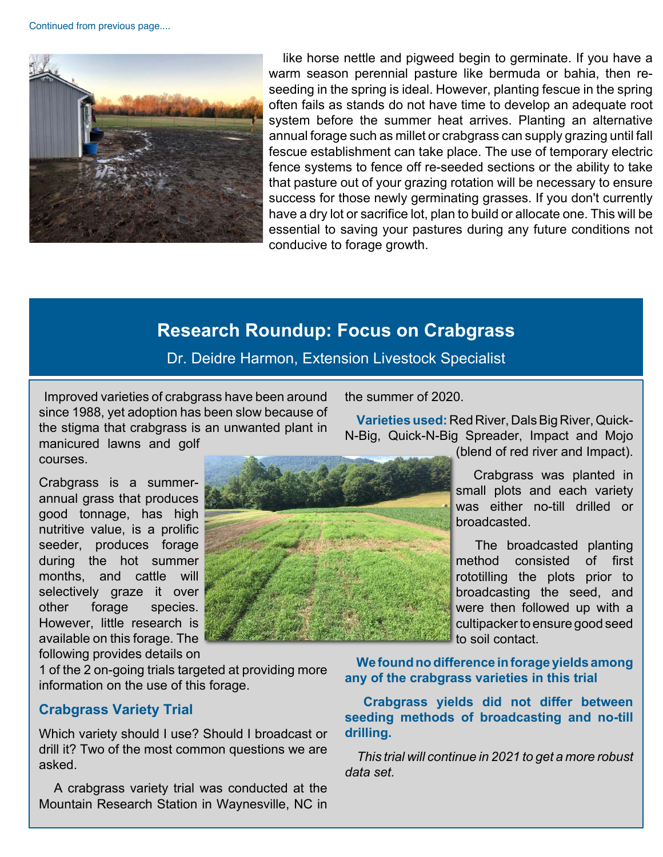Continued from previous page....



like horse nettle and pigweed begin to germinate. If you have a warm season perennial pasture like bermuda or bahia, then reseeding in the spring is ideal. However, planting fescue in the spring often fails as stands do not have time to develop an adequate root system before the summer heat arrives. Planting an alternative annual forage such as millet or crabgrass can supply grazing until fall fescue establishment can take place. The use of temporary electric fence systems to fence off re-seeded sections or the ability to take that pasture out of your grazing rotation will be necessary to ensure success for those newly germinating grasses. If you don't currently have a dry lot or sacrifice lot, plan to build or allocate one. This will be essential to saving your pastures during any future conditions not conducive to forage growth.

### **Research Roundup: Focus on Crabgrass**

Dr. Deidre Harmon, Extension Livestock Specialist

Improved varieties of crabgrass have been around since 1988, yet adoption has been slow because of the stigma that crabgrass is an unwanted plant in manicured lawns and golf

the summer of 2020.

**Varieties used: Red River, Dals Big River, Quick-**N-Big, Quick-N-Big Spreader, Impact and Mojo

Crabgrass is a summerannual grass that produces good tonnage, has high nutritive value, is a prolific seeder, produces forage during the hot summer months, and cattle will selectively graze it over other forage species. However, little research is available on this forage. The following provides details on

courses.



(blend of red river and Impact).

 Crabgrass was planted in small plots and each variety was either no-till drilled or broadcasted.

 The broadcasted planting method consisted of first rototilling the plots prior to broadcasting the seed, and were then followed up with a cultipackerto ensure good seed to soil contact.

1 of the 2 on-going trials targeted at providing more information on the use of this forage.

#### **Crabgrass Variety Trial**

Which variety should I use? Should I broadcast or drill it? Two of the most common questions we are asked.

 A crabgrass variety trial was conducted at the Mountain Research Station in Waynesville, NC in

**Wefoundnodifference inforage yields among any of the crabgrass varieties in this trial**

 **Crabgrass yields did not differ between seeding methods of broadcasting and no-till drilling.**

 *This trial will continue in 2021 to get a more robust data set.*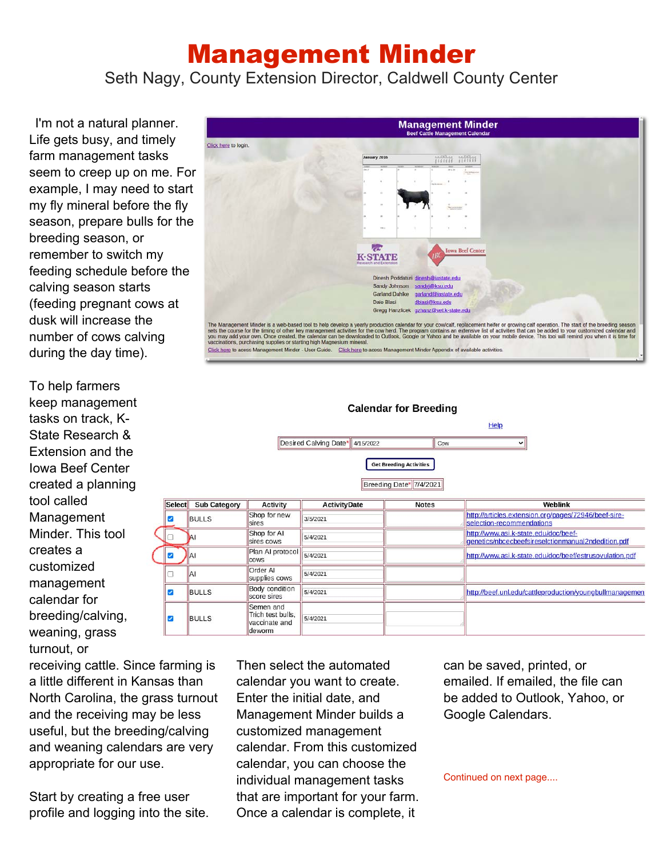### Management Minder

Seth Nagy, County Extension Director, Caldwell County Center

I'm not a natural planner. Life gets busy, and timely farm management tasks seem to creep up on me. For example, I may need to start my fly mineral before the fly season, prepare bulls for the breeding season, or remember to switch my feeding schedule before the calving season starts (feeding pregnant cows at dusk will increase the number of cows calving during the day time).

To help farmers keep management tasks on track, K-State Research & Extension and the Iowa Beef Center created a planning tool called Management Minder. This tool creates a customized management calendar for breeding/calving, weaning, grass turnout, or



**Calendar for Breeding** Help Desired Calving Date\* 4/15/2022 Cow  $\mathbf{v}$ **Get Breeding Activities** Breeding Date\* 7/4/2021 Select Sub Category **Activity ActivityDate Notes** Weblink Shop for new http://articles.extension.org/pages/72946/beef-sireø **BULLS** 3/5/2021 sires selection-recommendations Shop for AI http://www.asi.k-state.edu/doc/beef-5/4/2021 sires cows genetics/nbcecbeefsireselctionmanual2ndedition.pdf Plan AI protocol Ø AI 5/4/2021 http://www.asi.k-state.edu/doc/beef/estrusovulation.pdf cows Order Al 5/4/2021 a AI supplies cows **Body condition** Ø **BULLS** 5/4/2021 http://beef.unl.edu/cattleproduction/youngbullmanagemen score sires Semen and Trich test bulls, **BULLS** ø 5/4/2021 vaccinate and deworm

receiving cattle. Since farming is a little different in Kansas than North Carolina, the grass turnout and the receiving may be less useful, but the breeding/calving and weaning calendars are very appropriate for our use.

Start by creating a free user profile and logging into the site. Then select the automated calendar you want to create. Enter the initial date, and Management Minder builds a customized management calendar. From this customized calendar, you can choose the individual management tasks that are important for your farm. Once a calendar is complete, it

can be saved, printed, or emailed. If emailed, the file can be added to Outlook, Yahoo, or Google Calendars.

Continued on next page....